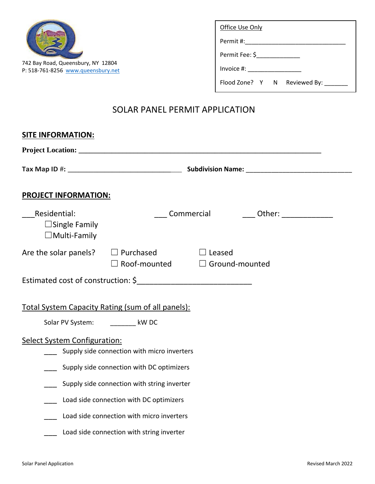

| Office Use Only              |
|------------------------------|
| Permit #:                    |
| Permit Fee: \$               |
| Invoice $\#$ :               |
| Flood Zone? Y N Reviewed By: |

# SOLAR PANEL PERMIT APPLICATION

| <b>SITE INFORMATION:</b>                                    |                                                   |                                        |                        |  |
|-------------------------------------------------------------|---------------------------------------------------|----------------------------------------|------------------------|--|
|                                                             |                                                   |                                        |                        |  |
|                                                             |                                                   |                                        |                        |  |
| <b>PROJECT INFORMATION:</b>                                 |                                                   |                                        |                        |  |
| Residential:<br>$\Box$ Single Family<br>$\Box$ Multi-Family | Commercial                                        |                                        | Other: $\qquad \qquad$ |  |
| Are the solar panels? $\Box$ Purchased                      | Roof-mounted                                      | $\Box$ Leased<br>$\Box$ Ground-mounted |                        |  |
|                                                             |                                                   |                                        |                        |  |
|                                                             | Total System Capacity Rating (sum of all panels): |                                        |                        |  |
| Solar PV System: _________ kW DC                            |                                                   |                                        |                        |  |
| <b>Select System Configuration:</b>                         | Supply side connection with micro inverters       |                                        |                        |  |
|                                                             | Supply side connection with DC optimizers         |                                        |                        |  |
|                                                             | Supply side connection with string inverter       |                                        |                        |  |
|                                                             | Load side connection with DC optimizers           |                                        |                        |  |
|                                                             | Load side connection with micro inverters         |                                        |                        |  |
|                                                             | Load side connection with string inverter         |                                        |                        |  |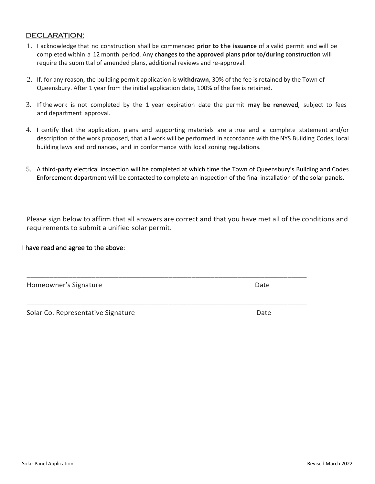Solar Panel Application Revised March 2022

#### DECLARATION:

- 1. I acknowledge that no construction shall be commenced **prior to the issuance** of a valid permit and will be completed within a 12 month period. Any **changes to the approved plans prior to/during construction** will require the submittal of amended plans, additional reviews and re-approval.
- 2. If, for any reason, the building permit application is **withdrawn**, 30% of the fee is retained by the Town of Queensbury. After 1 year from the initial application date, 100% of the fee is retained.
- 3. Ifthe work is not completed by the 1 year expiration date the permit **may be renewed**, subject to fees and department approval.
- 4. I certify that the application, plans and supporting materials are a true and a complete statement and/or description of the work proposed, that all work will be performed in accordance with the NYS Building Codes, local building laws and ordinances, and in conformance with local zoning regulations.
- 5. A third-party electrical inspection will be completed at which time the Town of Queensbury's Building and Codes Enforcement department will be contacted to complete an inspection of the final installation of the solar panels.

Please sign below to affirm that all answers are correct and that you have met all of the conditions and requirements to submit a unified solar permit.

\_\_\_\_\_\_\_\_\_\_\_\_\_\_\_\_\_\_\_\_\_\_\_\_\_\_\_\_\_\_\_\_\_\_\_\_\_\_\_\_\_\_\_\_\_\_\_\_\_\_\_\_\_\_\_\_\_\_\_\_\_\_\_\_\_\_\_\_\_\_\_\_\_

#### I have read and agree to the above:

Homeowner's Signature **Date** Date of the Date of the Date of the Date of the Date of the Date of the Date of the Date of the Date of the Date of the Date of the Date of the Date of the Date of the Date of the Date of the D

Solar Co. Representative Signature **Date** Date Date

\_\_\_\_\_\_\_\_\_\_\_\_\_\_\_\_\_\_\_\_\_\_\_\_\_\_\_\_\_\_\_\_\_\_\_\_\_\_\_\_\_\_\_\_\_\_\_\_\_\_\_\_\_\_\_\_\_\_\_\_\_\_\_\_\_\_\_\_\_\_\_\_\_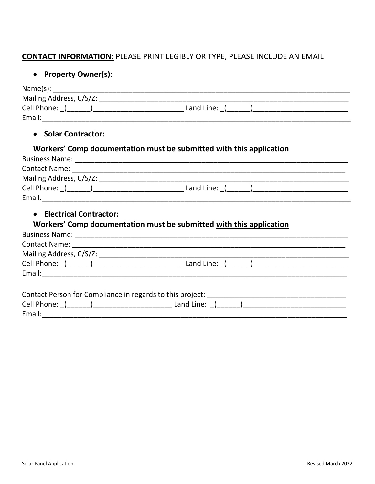## **CONTACT INFORMATION: PLEASE PRINT LEGIBLY OR TYPE, PLEASE INCLUDE AN EMAIL**

### • Property Owner(s):

| Name(s):                |            |
|-------------------------|------------|
| Mailing Address, C/S/Z: |            |
| Cell Phone:             | Land Line: |
| Email:                  |            |

#### • Solar Contractor:

### Workers' Comp documentation must be submitted with this application

| <b>Business Name:</b>   |              |  |
|-------------------------|--------------|--|
| <b>Contact Name:</b>    |              |  |
| Mailing Address, C/S/Z: |              |  |
| Cell Phone:             | Land Line: ( |  |
| Email:                  |              |  |

#### • Electrical Contractor:

## Workers' Comp documentation must be submitted with this application

|        | Land Line: $($ $)$                                                                |
|--------|-----------------------------------------------------------------------------------|
|        |                                                                                   |
|        | Contact Person for Compliance in regards to this project: _______________________ |
|        |                                                                                   |
| Email: |                                                                                   |